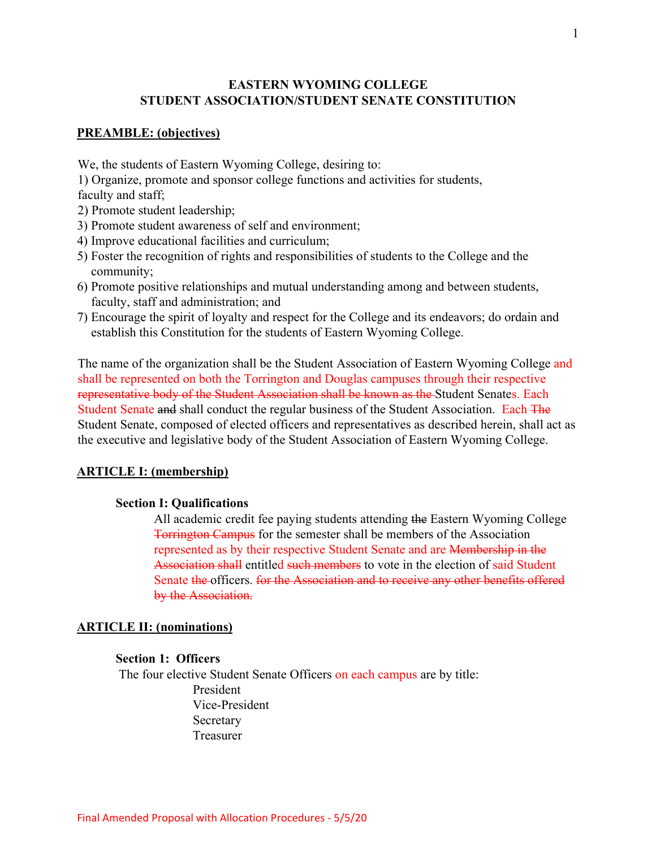### **EASTERN WYOMING COLLEGE STUDENT ASSOCIATION/STUDENT SENATE CONSTITUTION**

#### **PREAMBLE: (objectives)**

We, the students of Eastern Wyoming College, desiring to:

1) Organize, promote and sponsor college functions and activities for students,

faculty and staff;

- 2) Promote student leadership;
- 3) Promote student awareness of self and environment;
- 4) Improve educational facilities and curriculum;
- 5) Foster the recognition of rights and responsibilities of students to the College and the community;
- 6) Promote positive relationships and mutual understanding among and between students, faculty, staff and administration; and
- 7) Encourage the spirit of loyalty and respect for the College and its endeavors; do ordain and establish this Constitution for the students of Eastern Wyoming College.

The name of the organization shall be the Student Association of Eastern Wyoming College and shall be represented on both the Torrington and Douglas campuses through their respective representative body of the Student Association shall be known as the Student Senates. Each Student Senate and shall conduct the regular business of the Student Association. Each The Student Senate, composed of elected officers and representatives as described herein, shall act as the executive and legislative body of the Student Association of Eastern Wyoming College.

#### **ARTICLE I: (membership)**

#### **Section I: Qualifications**

All academic credit fee paying students attending the Eastern Wyoming College Torrington Campus for the semester shall be members of the Association represented as by their respective Student Senate and are Membership in the Association shall entitled such members to vote in the election of said Student Senate the officers. for the Association and to receive any other benefits offered by the Association.

#### **ARTICLE II: (nominations)**

#### **Section 1: Officers**

The four elective Student Senate Officers on each campus are by title: President Vice-President Secretary Treasurer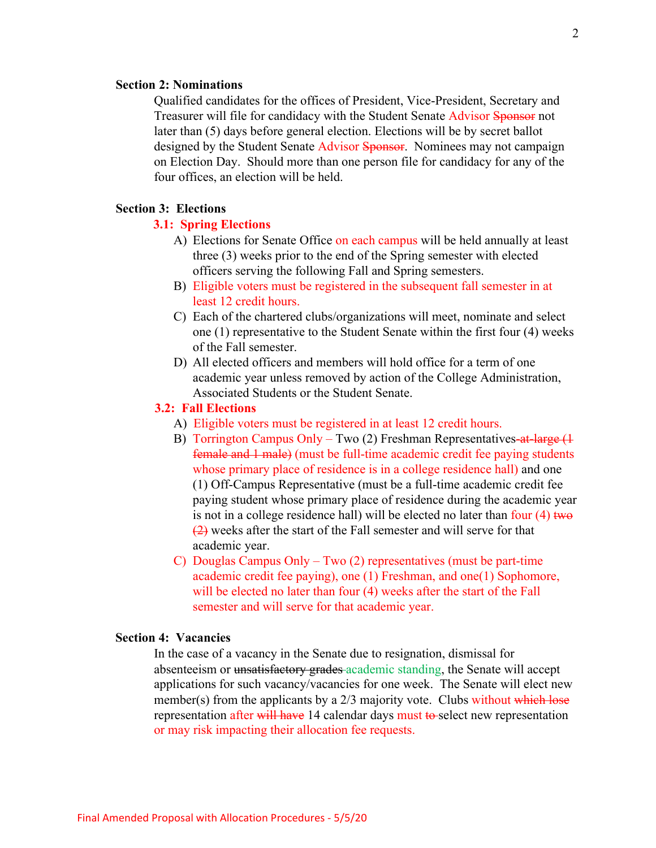#### **Section 2: Nominations**

Qualified candidates for the offices of President, Vice-President, Secretary and Treasurer will file for candidacy with the Student Senate Advisor Sponsor not later than (5) days before general election. Elections will be by secret ballot designed by the Student Senate Advisor Sponsor. Nominees may not campaign on Election Day. Should more than one person file for candidacy for any of the four offices, an election will be held.

#### **Section 3: Elections**

#### **3.1: Spring Elections**

- A) Elections for Senate Office on each campus will be held annually at least three (3) weeks prior to the end of the Spring semester with elected officers serving the following Fall and Spring semesters.
- B) Eligible voters must be registered in the subsequent fall semester in at least 12 credit hours.
- C) Each of the chartered clubs/organizations will meet, nominate and select one (1) representative to the Student Senate within the first four (4) weeks of the Fall semester.
- D) All elected officers and members will hold office for a term of one academic year unless removed by action of the College Administration, Associated Students or the Student Senate.

#### **3.2: Fall Elections**

- A)Eligible voters must be registered in at least 12 credit hours.
- B) Torrington Campus Only Two (2) Freshman Representatives-at-large (1 female and 1 male) (must be full-time academic credit fee paying students whose primary place of residence is in a college residence hall) and one (1) Off-Campus Representative (must be a full-time academic credit fee paying student whose primary place of residence during the academic year is not in a college residence hall) will be elected no later than four  $(4)$  two  $\left( \frac{2}{2} \right)$  weeks after the start of the Fall semester and will serve for that academic year.
- C) Douglas Campus Only Two (2) representatives (must be part-time academic credit fee paying), one (1) Freshman, and one(1) Sophomore, will be elected no later than four (4) weeks after the start of the Fall semester and will serve for that academic year.

### **Section 4: Vacancies**

In the case of a vacancy in the Senate due to resignation, dismissal for absenteeism or unsatisfactory grades academic standing, the Senate will accept applications for such vacancy/vacancies for one week. The Senate will elect new member(s) from the applicants by a 2/3 majority vote. Clubs without which lose representation after will have 14 calendar days must to select new representation or may risk impacting their allocation fee requests.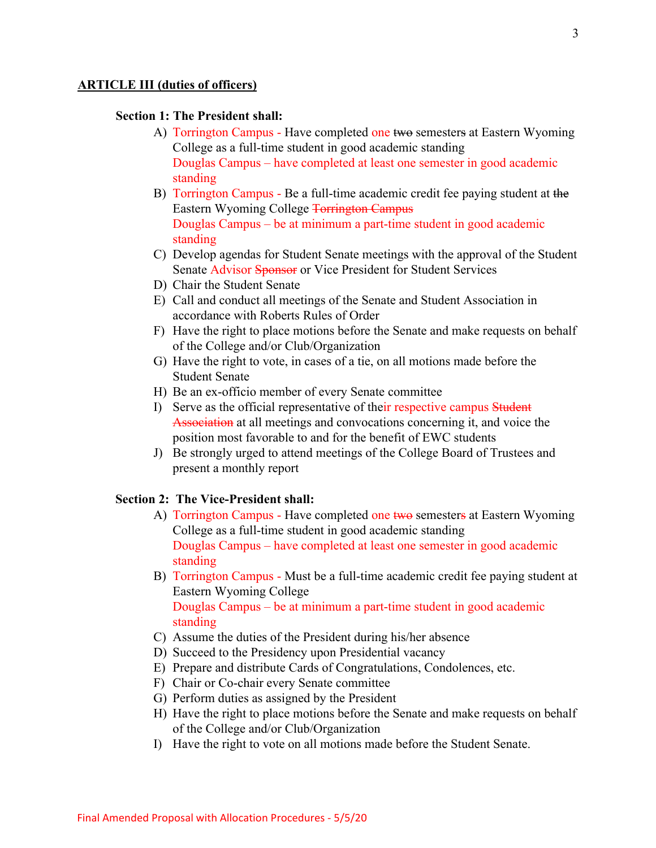#### **ARTICLE III (duties of officers)**

#### **Section 1: The President shall:**

- A) Torrington Campus Have completed one two semesters at Eastern Wyoming College as a full-time student in good academic standing Douglas Campus – have completed at least one semester in good academic standing
- B) Torrington Campus Be a full-time academic credit fee paying student at the Eastern Wyoming College Torrington Campus Douglas Campus – be at minimum a part-time student in good academic standing
- C) Develop agendas for Student Senate meetings with the approval of the Student Senate Advisor Sponsor or Vice President for Student Services
- D) Chair the Student Senate
- E) Call and conduct all meetings of the Senate and Student Association in accordance with Roberts Rules of Order
- F) Have the right to place motions before the Senate and make requests on behalf of the College and/or Club/Organization
- G) Have the right to vote, in cases of a tie, on all motions made before the Student Senate
- H) Be an ex-officio member of every Senate committee
- I) Serve as the official representative of their respective campus Student Association at all meetings and convocations concerning it, and voice the position most favorable to and for the benefit of EWC students
- J) Be strongly urged to attend meetings of the College Board of Trustees and present a monthly report

#### **Section 2: The Vice-President shall:**

- A) Torrington Campus Have completed one two semesters at Eastern Wyoming College as a full-time student in good academic standing Douglas Campus – have completed at least one semester in good academic standing
- B) Torrington Campus Must be a full-time academic credit fee paying student at Eastern Wyoming College Douglas Campus – be at minimum a part-time student in good academic standing
- C) Assume the duties of the President during his/her absence
- D) Succeed to the Presidency upon Presidential vacancy
- E) Prepare and distribute Cards of Congratulations, Condolences, etc.
- F) Chair or Co-chair every Senate committee
- G) Perform duties as assigned by the President
- H) Have the right to place motions before the Senate and make requests on behalf of the College and/or Club/Organization
- I) Have the right to vote on all motions made before the Student Senate.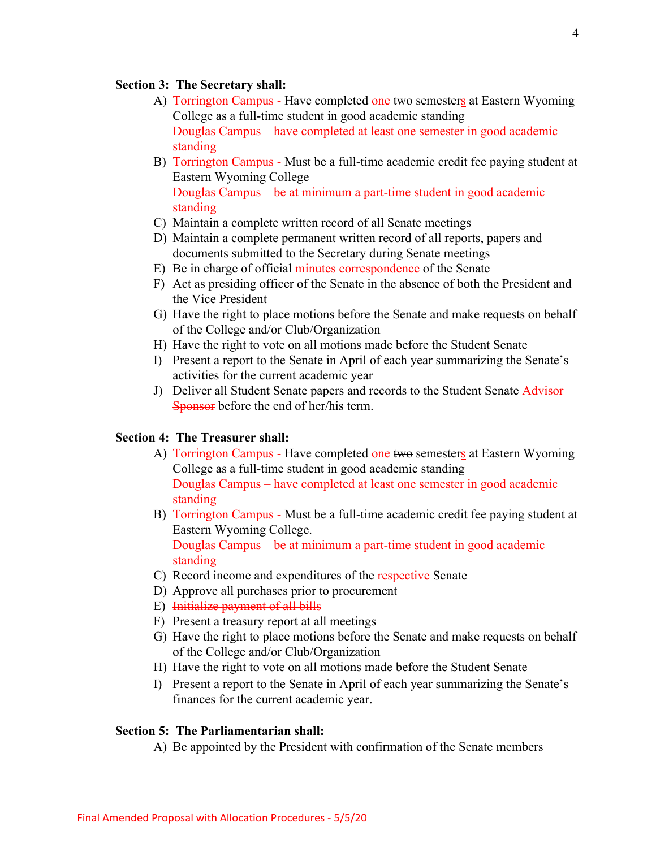#### **Section 3: The Secretary shall:**

- A) Torrington Campus Have completed one two semesters at Eastern Wyoming College as a full-time student in good academic standing Douglas Campus – have completed at least one semester in good academic standing
- B) Torrington Campus Must be a full-time academic credit fee paying student at Eastern Wyoming College Douglas Campus – be at minimum a part-time student in good academic standing
- C) Maintain a complete written record of all Senate meetings
- D) Maintain a complete permanent written record of all reports, papers and documents submitted to the Secretary during Senate meetings
- E) Be in charge of official minutes correspondence of the Senate
- F) Act as presiding officer of the Senate in the absence of both the President and the Vice President
- G) Have the right to place motions before the Senate and make requests on behalf of the College and/or Club/Organization
- H) Have the right to vote on all motions made before the Student Senate
- I) Present a report to the Senate in April of each year summarizing the Senate's activities for the current academic year
- J) Deliver all Student Senate papers and records to the Student Senate Advisor Sponsor before the end of her/his term.

### **Section 4: The Treasurer shall:**

- A) Torrington Campus Have completed one two semesters at Eastern Wyoming College as a full-time student in good academic standing Douglas Campus – have completed at least one semester in good academic standing
- B) Torrington Campus Must be a full-time academic credit fee paying student at Eastern Wyoming College.

Douglas Campus – be at minimum a part-time student in good academic standing

- C) Record income and expenditures of the respective Senate
- D) Approve all purchases prior to procurement
- E) Initialize payment of all bills
- F) Present a treasury report at all meetings
- G) Have the right to place motions before the Senate and make requests on behalf of the College and/or Club/Organization
- H) Have the right to vote on all motions made before the Student Senate
- I) Present a report to the Senate in April of each year summarizing the Senate's finances for the current academic year.

### **Section 5: The Parliamentarian shall:**

A) Be appointed by the President with confirmation of the Senate members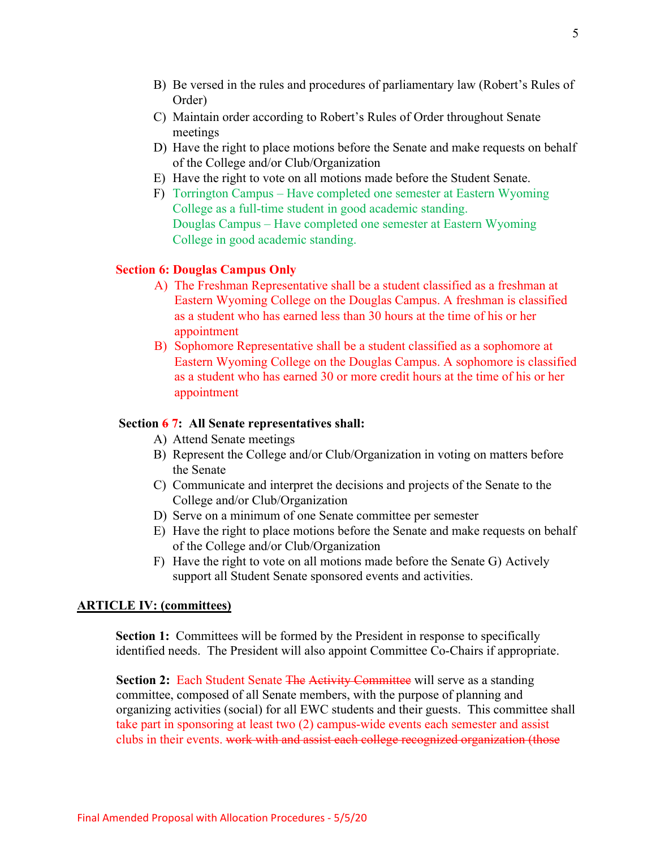- B) Be versed in the rules and procedures of parliamentary law (Robert's Rules of Order)
- C) Maintain order according to Robert's Rules of Order throughout Senate meetings
- D) Have the right to place motions before the Senate and make requests on behalf of the College and/or Club/Organization
- E) Have the right to vote on all motions made before the Student Senate.
- F) Torrington Campus Have completed one semester at Eastern Wyoming College as a full-time student in good academic standing. Douglas Campus – Have completed one semester at Eastern Wyoming College in good academic standing.

#### **Section 6: Douglas Campus Only**

- A) The Freshman Representative shall be a student classified as a freshman at Eastern Wyoming College on the Douglas Campus. A freshman is classified as a student who has earned less than 30 hours at the time of his or her appointment
- B) Sophomore Representative shall be a student classified as a sophomore at Eastern Wyoming College on the Douglas Campus. A sophomore is classified as a student who has earned 30 or more credit hours at the time of his or her appointment

#### **Section 6 7: All Senate representatives shall:**

- A) Attend Senate meetings
- B) Represent the College and/or Club/Organization in voting on matters before the Senate
- C) Communicate and interpret the decisions and projects of the Senate to the College and/or Club/Organization
- D) Serve on a minimum of one Senate committee per semester
- E) Have the right to place motions before the Senate and make requests on behalf of the College and/or Club/Organization
- F) Have the right to vote on all motions made before the Senate G) Actively support all Student Senate sponsored events and activities.

#### **ARTICLE IV: (committees)**

**Section 1:** Committees will be formed by the President in response to specifically identified needs. The President will also appoint Committee Co-Chairs if appropriate.

**Section 2:** Each Student Senate The Activity Committee will serve as a standing committee, composed of all Senate members, with the purpose of planning and organizing activities (social) for all EWC students and their guests. This committee shall take part in sponsoring at least two (2) campus-wide events each semester and assist clubs in their events. work with and assist each college recognized organization (those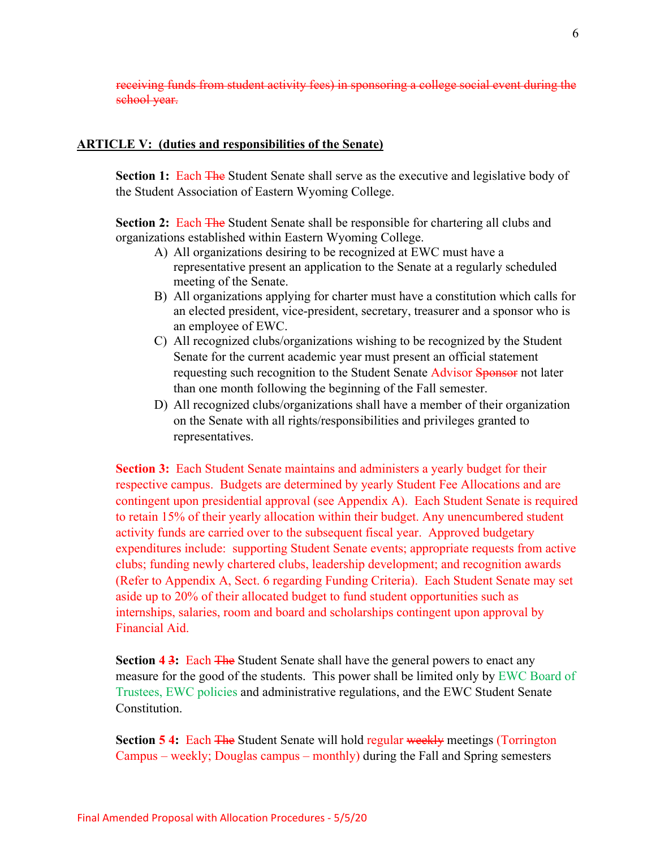receiving funds from student activity fees) in sponsoring a college social event during the school year.

#### **ARTICLE V: (duties and responsibilities of the Senate)**

**Section 1: Each The Student Senate shall serve as the executive and legislative body of** the Student Association of Eastern Wyoming College.

**Section 2:** Each The Student Senate shall be responsible for chartering all clubs and organizations established within Eastern Wyoming College.

- A) All organizations desiring to be recognized at EWC must have a representative present an application to the Senate at a regularly scheduled meeting of the Senate.
- B) All organizations applying for charter must have a constitution which calls for an elected president, vice-president, secretary, treasurer and a sponsor who is an employee of EWC.
- C) All recognized clubs/organizations wishing to be recognized by the Student Senate for the current academic year must present an official statement requesting such recognition to the Student Senate Advisor Sponsor not later than one month following the beginning of the Fall semester.
- D) All recognized clubs/organizations shall have a member of their organization on the Senate with all rights/responsibilities and privileges granted to representatives.

**Section 3:** Each Student Senate maintains and administers a yearly budget for their respective campus. Budgets are determined by yearly Student Fee Allocations and are contingent upon presidential approval (see Appendix A). Each Student Senate is required to retain 15% of their yearly allocation within their budget. Any unencumbered student activity funds are carried over to the subsequent fiscal year. Approved budgetary expenditures include: supporting Student Senate events; appropriate requests from active clubs; funding newly chartered clubs, leadership development; and recognition awards (Refer to Appendix A, Sect. 6 regarding Funding Criteria). Each Student Senate may set aside up to 20% of their allocated budget to fund student opportunities such as internships, salaries, room and board and scholarships contingent upon approval by Financial Aid.

**Section 4 3:** Each The Student Senate shall have the general powers to enact any measure for the good of the students. This power shall be limited only by EWC Board of Trustees, EWC policies and administrative regulations, and the EWC Student Senate Constitution.

**Section 5 4:** Each The Student Senate will hold regular weekly meetings (Torrington Campus – weekly; Douglas campus – monthly) during the Fall and Spring semesters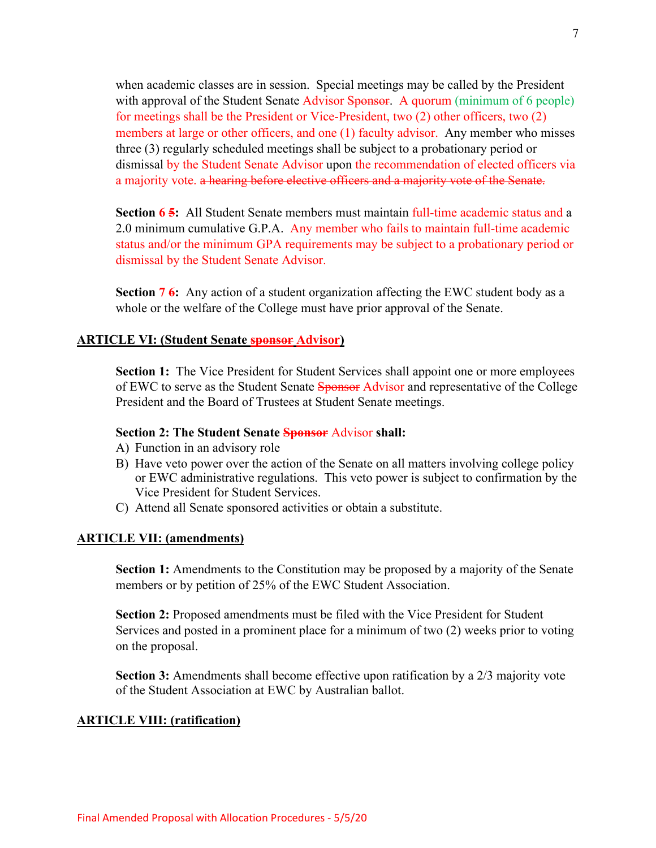when academic classes are in session. Special meetings may be called by the President with approval of the Student Senate Advisor Sponsor. A quorum (minimum of 6 people) for meetings shall be the President or Vice-President, two (2) other officers, two (2) members at large or other officers, and one (1) faculty advisor. Any member who misses three (3) regularly scheduled meetings shall be subject to a probationary period or dismissal by the Student Senate Advisor upon the recommendation of elected officers via a majority vote. a hearing before elective officers and a majority vote of the Senate.

**Section 6.5:** All Student Senate members must maintain full-time academic status and a 2.0 minimum cumulative G.P.A. Any member who fails to maintain full-time academic status and/or the minimum GPA requirements may be subject to a probationary period or dismissal by the Student Senate Advisor.

**Section 7 6:** Any action of a student organization affecting the EWC student body as a whole or the welfare of the College must have prior approval of the Senate.

#### **ARTICLE VI: (Student Senate sponsor Advisor)**

**Section 1:** The Vice President for Student Services shall appoint one or more employees of EWC to serve as the Student Senate Sponsor Advisor and representative of the College President and the Board of Trustees at Student Senate meetings.

#### **Section 2: The Student Senate Sponsor** Advisor **shall:**

- A) Function in an advisory role
- B) Have veto power over the action of the Senate on all matters involving college policy or EWC administrative regulations. This veto power is subject to confirmation by the Vice President for Student Services.
- C) Attend all Senate sponsored activities or obtain a substitute.

#### **ARTICLE VII: (amendments)**

**Section 1:** Amendments to the Constitution may be proposed by a majority of the Senate members or by petition of 25% of the EWC Student Association.

**Section 2:** Proposed amendments must be filed with the Vice President for Student Services and posted in a prominent place for a minimum of two (2) weeks prior to voting on the proposal.

**Section 3:** Amendments shall become effective upon ratification by a 2/3 majority vote of the Student Association at EWC by Australian ballot.

#### **ARTICLE VIII: (ratification)**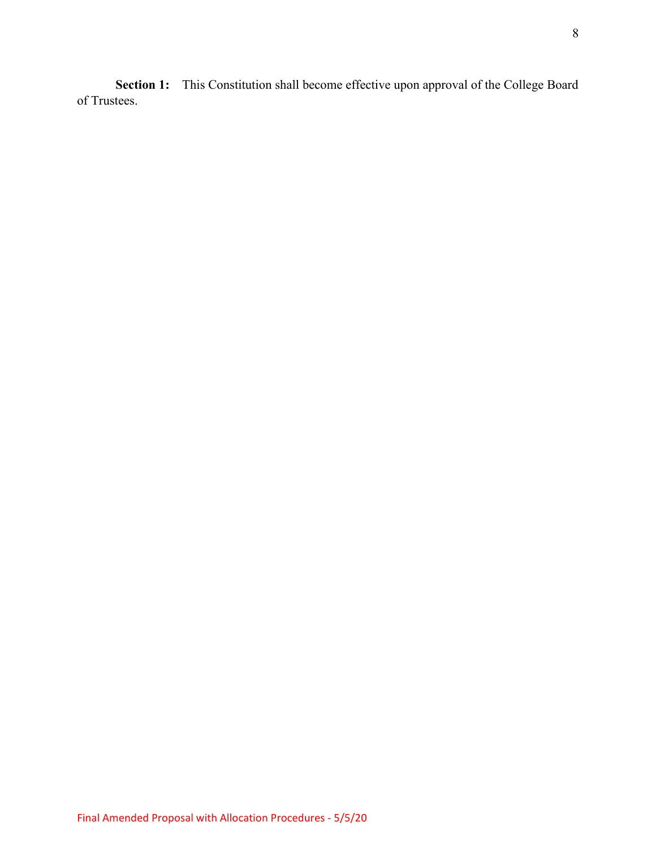**Section 1:** This Constitution shall become effective upon approval of the College Board of Trustees.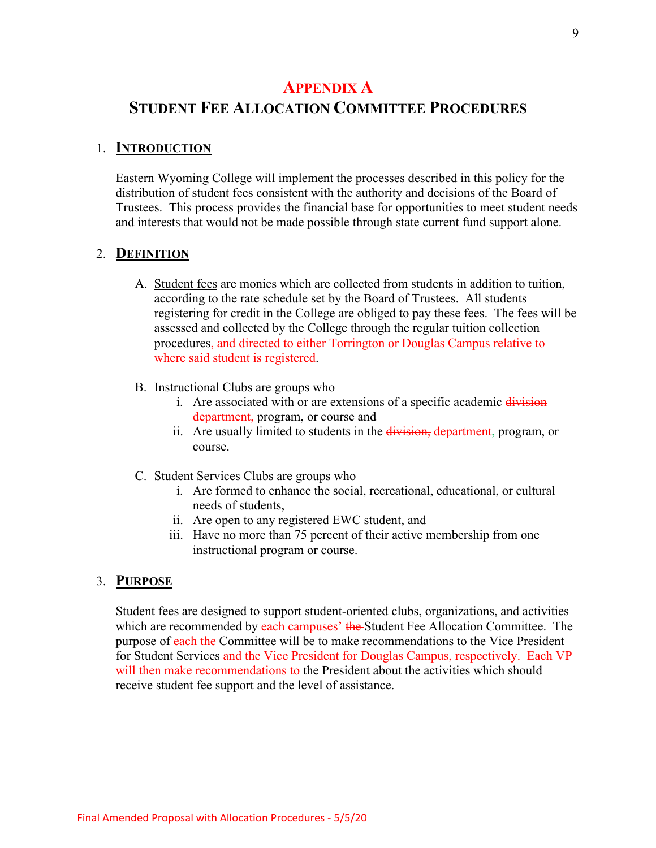# **APPENDIX A**

# **STUDENT FEE ALLOCATION COMMITTEE PROCEDURES**

# 1. **INTRODUCTION**

Eastern Wyoming College will implement the processes described in this policy for the distribution of student fees consistent with the authority and decisions of the Board of Trustees. This process provides the financial base for opportunities to meet student needs and interests that would not be made possible through state current fund support alone.

# 2. **DEFINITION**

- A. Student fees are monies which are collected from students in addition to tuition, according to the rate schedule set by the Board of Trustees. All students registering for credit in the College are obliged to pay these fees. The fees will be assessed and collected by the College through the regular tuition collection procedures, and directed to either Torrington or Douglas Campus relative to where said student is registered.
- B. Instructional Clubs are groups who
	- i. Are associated with or are extensions of a specific academic division department, program, or course and
	- ii. Are usually limited to students in the division, department, program, or course.
- C. Student Services Clubs are groups who
	- i. Are formed to enhance the social, recreational, educational, or cultural needs of students,
	- ii. Are open to any registered EWC student, and
	- iii. Have no more than 75 percent of their active membership from one instructional program or course.

# 3. **PURPOSE**

Student fees are designed to support student-oriented clubs, organizations, and activities which are recommended by each campuses' the Student Fee Allocation Committee. The purpose of each the Committee will be to make recommendations to the Vice President for Student Services and the Vice President for Douglas Campus, respectively. Each VP will then make recommendations to the President about the activities which should receive student fee support and the level of assistance.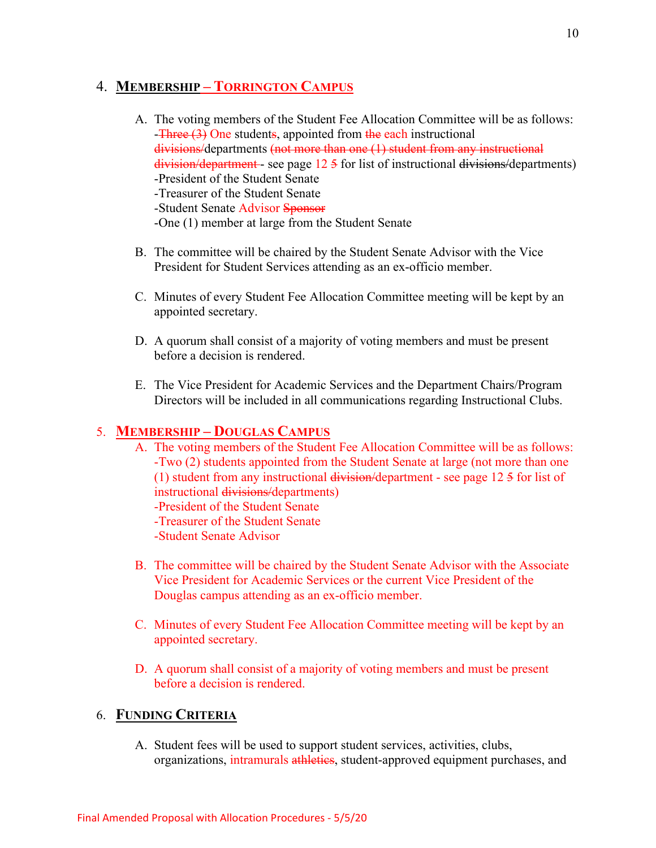# 4. **MEMBERSHIP – TORRINGTON CAMPUS**

- A. The voting members of the Student Fee Allocation Committee will be as follows: -Three (3) One students, appointed from the each instructional divisions/departments (not more than one (1) student from any instructional  $division/department - see page 12.5$  for list of instructional  $divisions/department)$ -President of the Student Senate -Treasurer of the Student Senate -Student Senate Advisor Sponsor -One (1) member at large from the Student Senate
- B. The committee will be chaired by the Student Senate Advisor with the Vice President for Student Services attending as an ex-officio member.
- C. Minutes of every Student Fee Allocation Committee meeting will be kept by an appointed secretary.
- D. A quorum shall consist of a majority of voting members and must be present before a decision is rendered.
- E. The Vice President for Academic Services and the Department Chairs/Program Directors will be included in all communications regarding Instructional Clubs.

# 5. **MEMBERSHIP – DOUGLAS CAMPUS**

- A. The voting members of the Student Fee Allocation Committee will be as follows: -Two (2) students appointed from the Student Senate at large (not more than one (1) student from any instructional division/department - see page 12 5 for list of instructional divisions/departments) -President of the Student Senate -Treasurer of the Student Senate -Student Senate Advisor
- B. The committee will be chaired by the Student Senate Advisor with the Associate Vice President for Academic Services or the current Vice President of the Douglas campus attending as an ex-officio member.
- C. Minutes of every Student Fee Allocation Committee meeting will be kept by an appointed secretary.
- D. A quorum shall consist of a majority of voting members and must be present before a decision is rendered.

# 6. **FUNDING CRITERIA**

A. Student fees will be used to support student services, activities, clubs, organizations, intramurals athletics, student-approved equipment purchases, and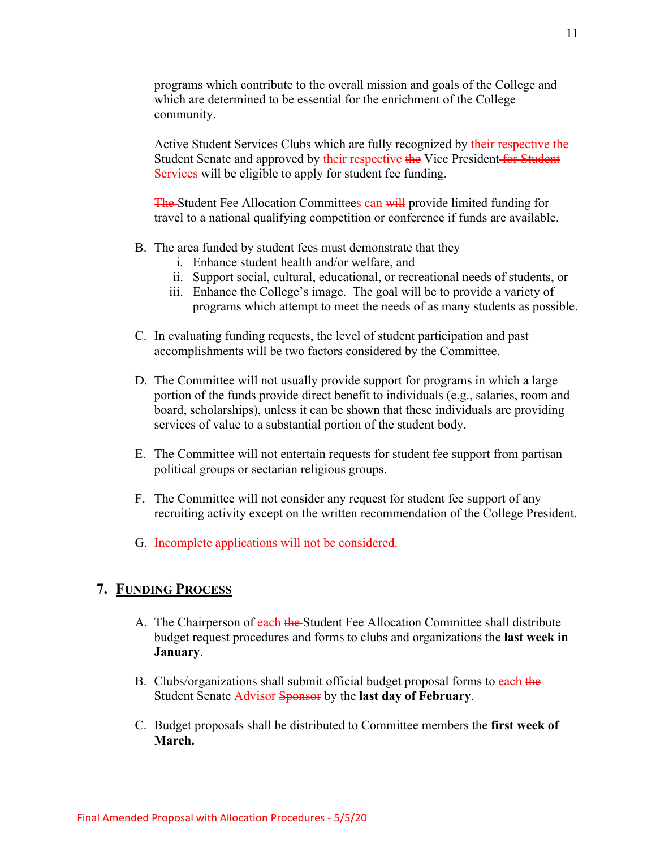programs which contribute to the overall mission and goals of the College and which are determined to be essential for the enrichment of the College community.

Active Student Services Clubs which are fully recognized by their respective the Student Senate and approved by their respective the Vice President for Student Services will be eligible to apply for student fee funding.

The Student Fee Allocation Committees can will provide limited funding for travel to a national qualifying competition or conference if funds are available.

- B. The area funded by student fees must demonstrate that they
	- i. Enhance student health and/or welfare, and
	- ii. Support social, cultural, educational, or recreational needs of students, or
	- iii. Enhance the College's image. The goal will be to provide a variety of programs which attempt to meet the needs of as many students as possible.
- C. In evaluating funding requests, the level of student participation and past accomplishments will be two factors considered by the Committee.
- D. The Committee will not usually provide support for programs in which a large portion of the funds provide direct benefit to individuals (e.g., salaries, room and board, scholarships), unless it can be shown that these individuals are providing services of value to a substantial portion of the student body.
- E. The Committee will not entertain requests for student fee support from partisan political groups or sectarian religious groups.
- F. The Committee will not consider any request for student fee support of any recruiting activity except on the written recommendation of the College President.
- G. Incomplete applications will not be considered.

### **7. FUNDING PROCESS**

- A. The Chairperson of each the Student Fee Allocation Committee shall distribute budget request procedures and forms to clubs and organizations the **last week in January**.
- B. Clubs/organizations shall submit official budget proposal forms to each the Student Senate Advisor Sponsor by the **last day of February**.
- C. Budget proposals shall be distributed to Committee members the **first week of March.**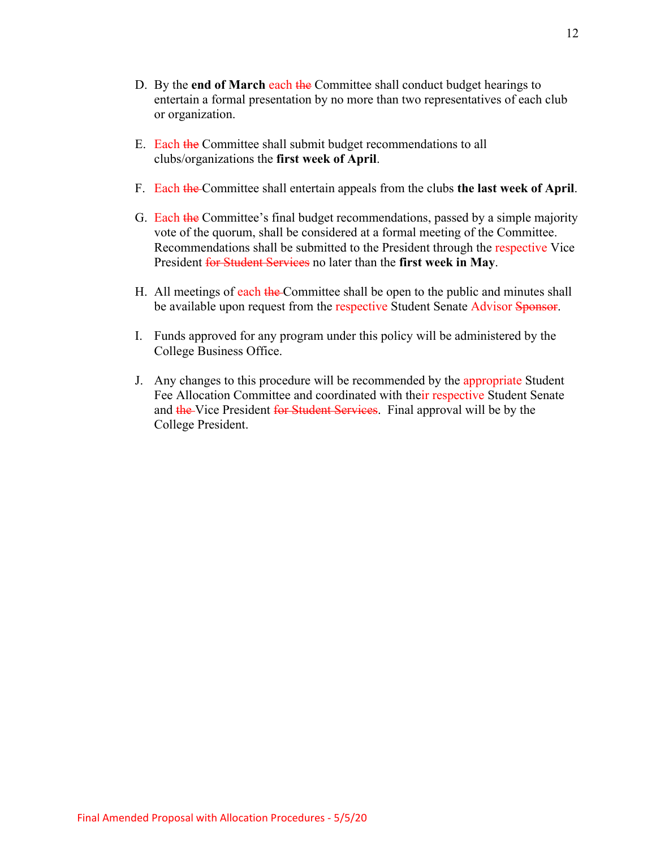- D. By the **end of March** each the Committee shall conduct budget hearings to entertain a formal presentation by no more than two representatives of each club or organization.
- E. Each the Committee shall submit budget recommendations to all clubs/organizations the **first week of April**.
- F. Each the Committee shall entertain appeals from the clubs **the last week of April**.
- G. Each the Committee's final budget recommendations, passed by a simple majority vote of the quorum, shall be considered at a formal meeting of the Committee. Recommendations shall be submitted to the President through the respective Vice President for Student Services no later than the **first week in May**.
- H. All meetings of each the Committee shall be open to the public and minutes shall be available upon request from the respective Student Senate Advisor Sponsor.
- I. Funds approved for any program under this policy will be administered by the College Business Office.
- J. Any changes to this procedure will be recommended by the appropriate Student Fee Allocation Committee and coordinated with their respective Student Senate and the Vice President for Student Services. Final approval will be by the College President.